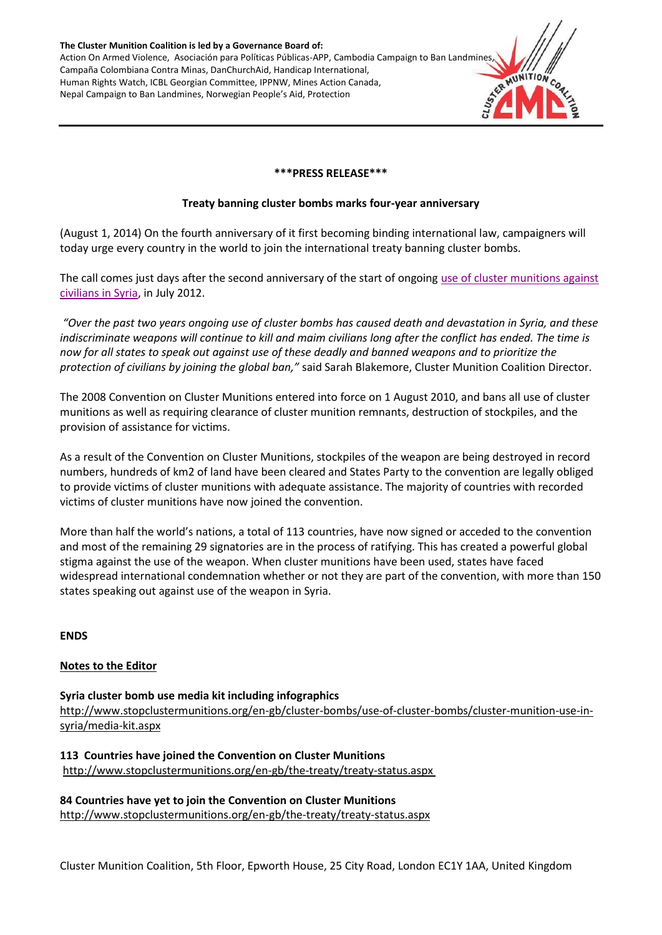**The Cluster Munition Coalition is led by a Governance Board of:** Action On Armed Violence, Asociación para Políticas Públicas-APP, Cambodia Campaign to Ban Landmines, Campaña Colombiana Contra Minas, DanChurchAid, Handicap International, Human Rights Watch, ICBL Georgian Committee, IPPNW, Mines Action Canada, Nepal Campaign to Ban Landmines, Norwegian People's Aid, Protection

#### **\*\*\*PRESS RELEASE\*\*\***

#### **Treaty banning cluster bombs marks four-year anniversary**

(August 1, 2014) On the fourth anniversary of it first becoming binding international law, campaigners will today urge every country in the world to join the international treaty banning cluster bombs.

The call comes just days after the second anniversary of the start of ongoing use of [cluster munitions against](http://www.stopclustermunitions.org/en-gb/cluster-bombs/use-of-cluster-bombs/cluster-munition-use-in-syria.aspx)  [civilians in Syria,](http://www.stopclustermunitions.org/en-gb/cluster-bombs/use-of-cluster-bombs/cluster-munition-use-in-syria.aspx) in July 2012.

*"Over the past two years ongoing use of cluster bombs has caused death and devastation in Syria, and these*  indiscriminate weapons will continue to kill and maim civilians long after the conflict has ended. The time is *now for all states to speak out against use of these deadly and banned weapons and to prioritize the protection of civilians by joining the global ban,"* said Sarah Blakemore, Cluster Munition Coalition Director.

The 2008 Convention on Cluster Munitions entered into force on 1 August 2010, and bans all use of cluster munitions as well as requiring clearance of cluster munition remnants, destruction of stockpiles, and the provision of assistance for victims.

As a result of the Convention on Cluster Munitions, stockpiles of the weapon are being destroyed in record numbers, hundreds of km2 of land have been cleared and States Party to the convention are legally obliged to provide victims of cluster munitions with adequate assistance. The majority of countries with recorded victims of cluster munitions have now joined the convention.

More than half the world's nations, a total of 113 countries, have now signed or acceded to the convention and most of the remaining 29 signatories are in the process of ratifying. This has created a powerful global stigma against the use of the weapon. When cluster munitions have been used, states have faced widespread international condemnation whether or not they are part of the convention, with more than 150 states speaking out against use of the weapon in Syria.

# **ENDS**

# **Notes to the Editor**

**Syria cluster bomb use media kit including infographics** [http://www.stopclustermunitions.org/en-gb/cluster-bombs/use-of-cluster-bombs/cluster-munition-use-in](http://www.stopclustermunitions.org/en-gb/cluster-bombs/use-of-cluster-bombs/cluster-munition-use-in-syria/media-kit.aspx)[syria/media-kit.aspx](http://www.stopclustermunitions.org/en-gb/cluster-bombs/use-of-cluster-bombs/cluster-munition-use-in-syria/media-kit.aspx)

**113 Countries have joined the Convention on Cluster Munitions** <http://www.stopclustermunitions.org/en-gb/the-treaty/treaty-status.aspx>

**84 Countries have yet to join the Convention on Cluster Munitions** <http://www.stopclustermunitions.org/en-gb/the-treaty/treaty-status.aspx>